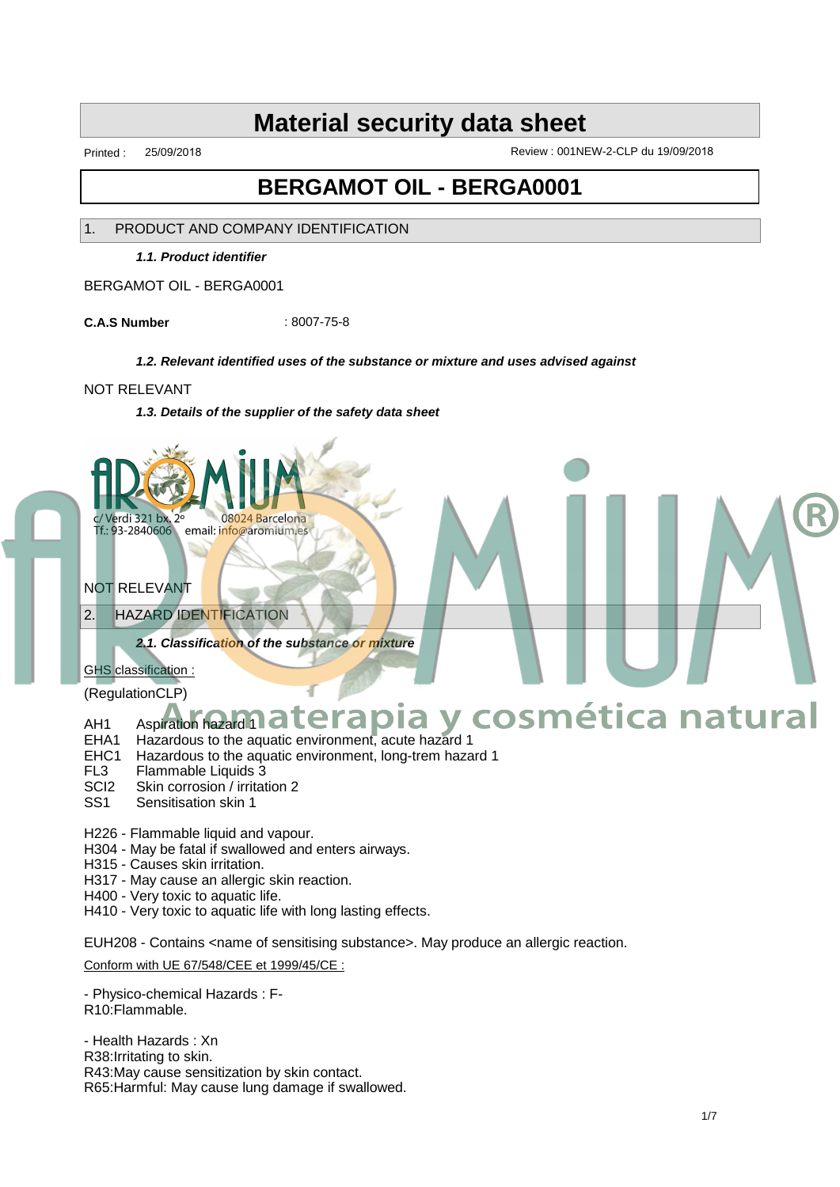Printed : 25/09/2018 Review : 001NEW-2-CLP du 19/09/2018

# **BERGAMOT OIL - BERGA0001**

### 1. PRODUCT AND COMPANY IDENTIFICATION

**1.1. Product identifier**

BERGAMOT OIL - BERGA0001

**C.A.S Number** : 8007-75-8

### **1.2. Relevant identified uses of the substance or mixture and uses advised against**

### NOT RELEVANT

**1.3. Details of the supplier of the safety data sheet**



NOT RELEVANT

2. HAZARD IDENTIFICATION

**2.1. Classification of the substance or mixture**

GHS classification :

(RegulationCLP)

# AH1 Aspiration hazard 1 **at Arapia y cosmética natural**

- EHA1 Hazardous to the aquatic environment, acute hazard 1
- EHC1 Hazardous to the aquatic environment, long-trem hazard 1
- FL3 Flammable Liquids 3
- SCI2 Skin corrosion / irritation 2
- SS1 Sensitisation skin 1
- H226 Flammable liquid and vapour.
- H304 May be fatal if swallowed and enters airways.
- H315 Causes skin irritation.
- H317 May cause an allergic skin reaction.
- H400 Very toxic to aquatic life.
- H410 Very toxic to aquatic life with long lasting effects.

EUH208 - Contains <name of sensitising substance>. May produce an allergic reaction.

Conform with UE 67/548/CEE et 1999/45/CE :

- Physico-chemical Hazards : F-R10:Flammable.

- Health Hazards : Xn R38:Irritating to skin. R43:May cause sensitization by skin contact. R65:Harmful: May cause lung damage if swallowed. ®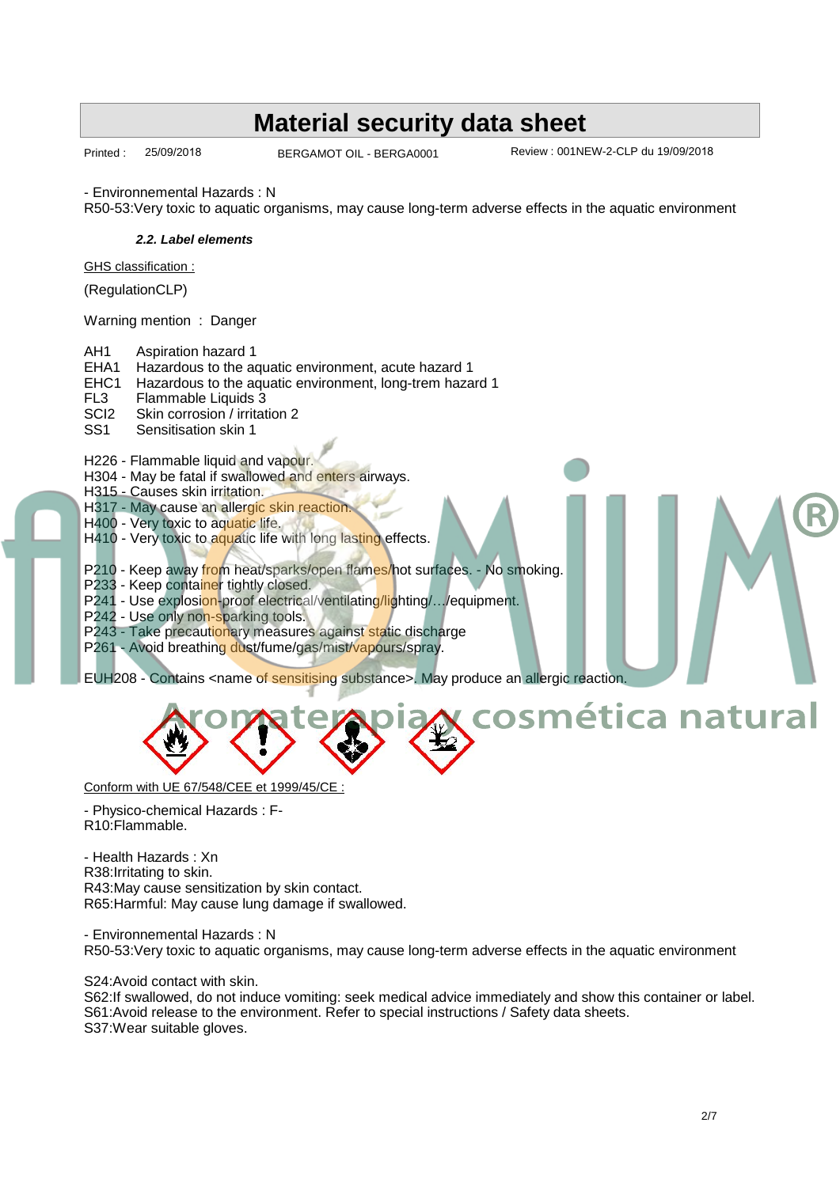# Printed : 25/09/2018 BERGAMOT OIL - BERGA0001 Review : 001NEW-2-CLP du 19/09/2018 **Material security data sheet** BERGAMOT OIL - BERGA0001 - Environnemental Hazards : N R50-53:Very toxic to aquatic organisms, may cause long-term adverse effects in the aquatic environment **2.2. Label elements** GHS classification : (RegulationCLP) Warning mention : Danger AH1 Aspiration hazard 1 EHA1 Hazardous to the aquatic environment, acute hazard 1 EHC1 Hazardous to the aquatic environment, long-trem hazard 1 FL3 Flammable Liquids 3<br>SCl2 Skin corrosion / irritat SCI2 Skin corrosion / irritation 2<br>SS1 Sensitisation skin 1 Sensitisation skin 1 H226 - Flammable liquid and vapour. H304 - May be fatal if swallowed and enters airways. H315 - Causes skin irritation. H317 - May cause an allergic skin reaction. H400 - Very toxic to aquatic life. H410 - Very toxic to aquatic life with long lasting effects. P210 - Keep away from heat/sparks/open flames/hot surfaces. - No smoking. P233 - Keep container tightly closed. P241 - Use explosion-proof electrical/ventilating/lighting/.../equipment. P242 - Use only non-sparking tools. P243 - Take precautionary measures against static discharge P261 - Avoid breathing dust/fume/gas/mist/vapours/spray. EUH208 - Contains <name of sensitising substance>. May produce an allergic reaction. ®



Conform with UE 67/548/CEE et 1999/45/CE :

- Physico-chemical Hazards : F-R10:Flammable.

- Health Hazards : Xn R38:Irritating to skin. R43:May cause sensitization by skin contact. R65:Harmful: May cause lung damage if swallowed.

- Environnemental Hazards : N R50-53:Very toxic to aquatic organisms, may cause long-term adverse effects in the aquatic environment

S24:Avoid contact with skin.

S62:If swallowed, do not induce vomiting: seek medical advice immediately and show this container or label. S61:Avoid release to the environment. Refer to special instructions / Safety data sheets. S37:Wear suitable gloves.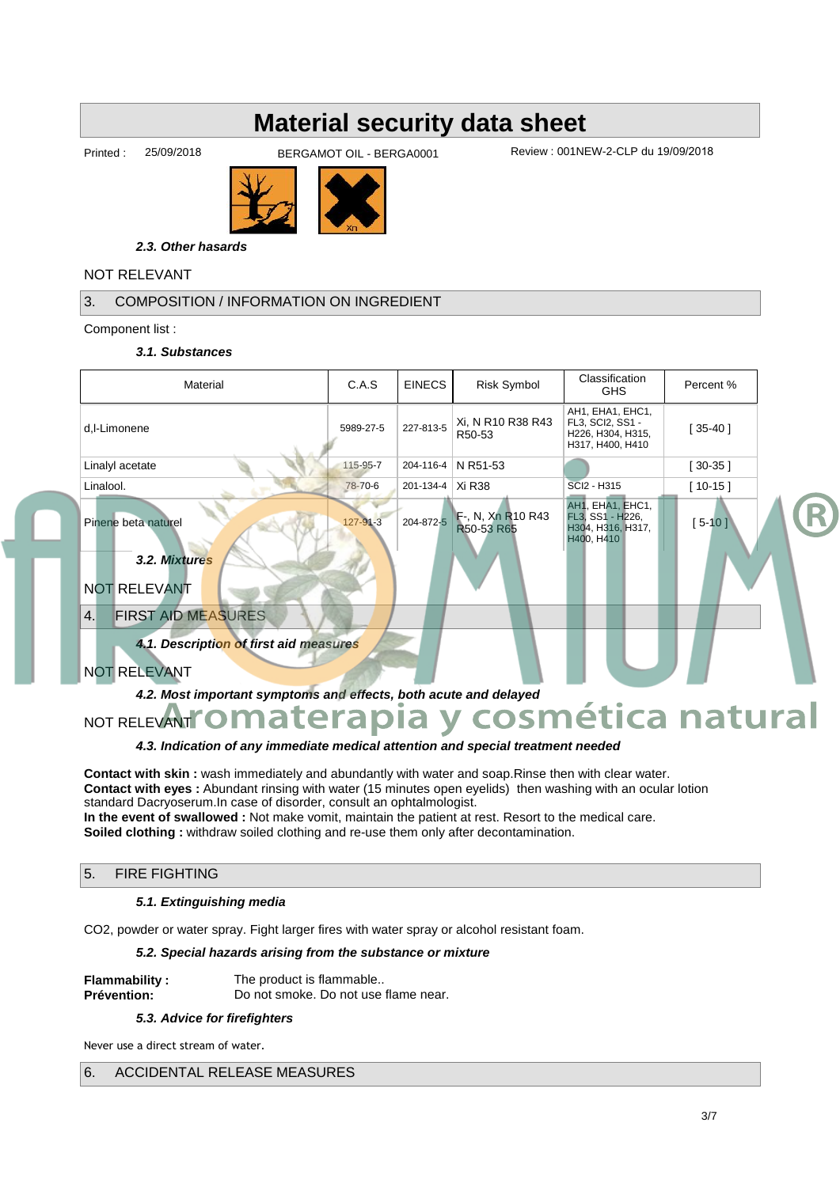Printed : 25/09/2018 BERGAMOT OIL - BERGA0001 Review : 001NEW-2-CLP du 19/09/2018



**2.3. Other hasards**

# NOT RELEVANT

# 3. COMPOSITION / INFORMATION ON INGREDIENT

Component list :

#### **3.1. Substances**

| Material                                                         | C.A.S          | <b>EINECS</b>                                                                                                             | <b>Risk Symbol</b>              | Classification<br>Percent %<br><b>GHS</b>                               |            |  |
|------------------------------------------------------------------|----------------|---------------------------------------------------------------------------------------------------------------------------|---------------------------------|-------------------------------------------------------------------------|------------|--|
| d,l-Limonene                                                     | 5989-27-5      | AH1, EHA1, EHC1,<br>Xi, N R10 R38 R43<br>FL3, SCI2, SS1 -<br>227-813-5<br>H226, H304, H315,<br>R50-53<br>H317, H400, H410 |                                 | $[35-40]$                                                               |            |  |
| Linalyl acetate                                                  | 115-95-7       | 204-116-4                                                                                                                 | N R51-53                        |                                                                         | $[30-35]$  |  |
| Linalool.                                                        | 78-70-6        | 201-134-4   Xi R38                                                                                                        |                                 | $[10-15]$<br>SCI2 - H315                                                |            |  |
| Pinene beta naturel                                              | $127 - 91 - 3$ | 204-872-5                                                                                                                 | F-, N, Xn R10 R43<br>R50-53 R65 | AH1, EHA1, EHC1,<br>FL3, SS1 - H226,<br>H304, H316, H317,<br>H400, H410 | $[5 - 10]$ |  |
| 3.2. Mixtures                                                    |                |                                                                                                                           |                                 |                                                                         |            |  |
| <b>NOT RELEVANT</b>                                              |                |                                                                                                                           |                                 |                                                                         |            |  |
| 4.<br><b>FIRST AID MEASURES</b>                                  |                |                                                                                                                           |                                 |                                                                         |            |  |
| 4.1. Description of first aid measures                           |                |                                                                                                                           |                                 |                                                                         |            |  |
| <b>NOT RELEVANT</b>                                              |                |                                                                                                                           |                                 |                                                                         |            |  |
| 4.2. Most important symptoms and effects, both acute and delayed |                |                                                                                                                           |                                 |                                                                         |            |  |
| NOT RELEVANT O MATE CAPIA Y COSMÉtica natural                    |                |                                                                                                                           |                                 |                                                                         |            |  |
|                                                                  |                |                                                                                                                           |                                 |                                                                         |            |  |

## **4.3. Indication of any immediate medical attention and special treatment needed**

**Contact with skin :** wash immediately and abundantly with water and soap.Rinse then with clear water. **Contact with eyes :** Abundant rinsing with water (15 minutes open eyelids) then washing with an ocular lotion standard Dacryoserum.In case of disorder, consult an ophtalmologist. **In the event of swallowed :** Not make vomit, maintain the patient at rest. Resort to the medical care. **Soiled clothing :** withdraw soiled clothing and re-use them only after decontamination.

#### 5. FIRE FIGHTING

#### **5.1. Extinguishing media**

CO2, powder or water spray. Fight larger fires with water spray or alcohol resistant foam.

#### **5.2. Special hazards arising from the substance or mixture**

| <b>Flammability:</b> | The product is flammable             |  |  |  |
|----------------------|--------------------------------------|--|--|--|
| <b>Prévention:</b>   | Do not smoke. Do not use flame near. |  |  |  |

#### **5.3. Advice for firefighters**

Never use a direct stream of water.

## 6. ACCIDENTAL RELEASE MEASURES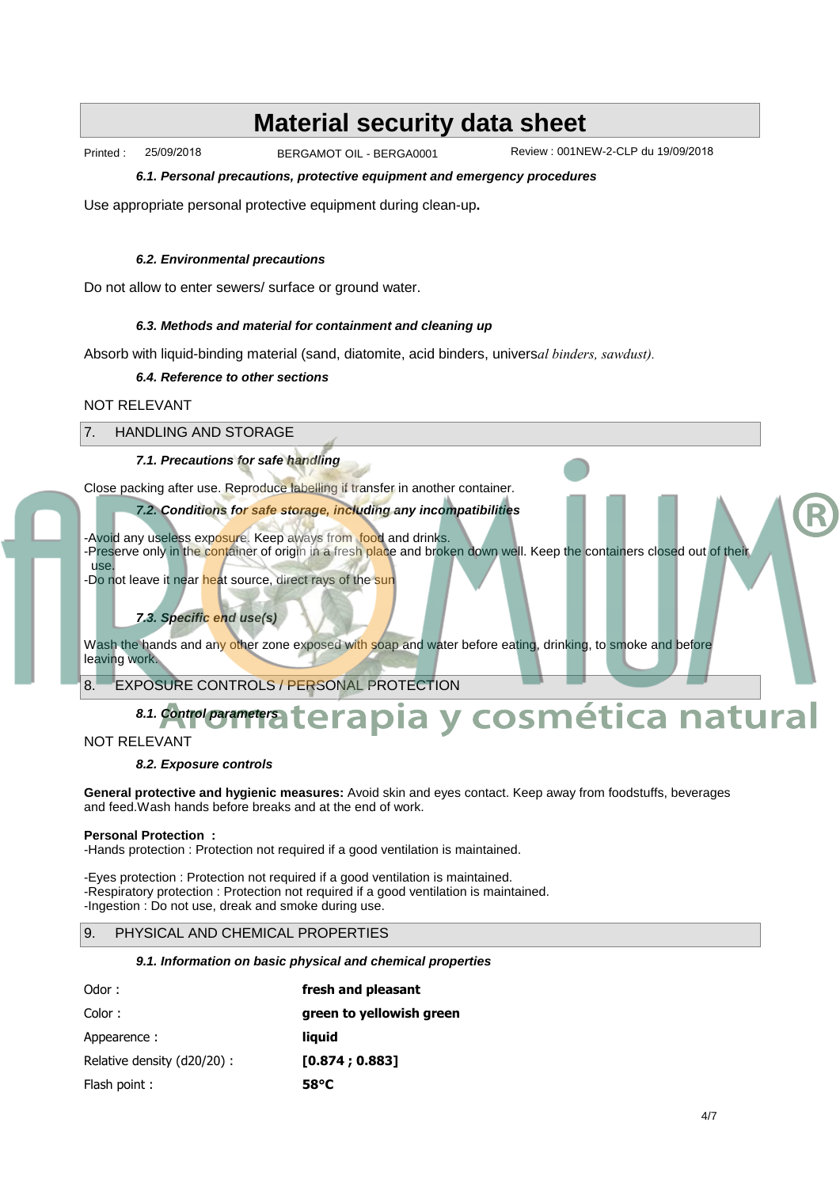Printed : 25/09/2018 BERGAMOT OIL - BERGA0001

Review : 001NEW-2-CLP du 19/09/2018

**6.1. Personal precautions, protective equipment and emergency procedures**

Use appropriate personal protective equipment during clean-up**.**

#### **6.2. Environmental precautions**

Do not allow to enter sewers/ surface or ground water.

#### **6.3. Methods and material for containment and cleaning up**

Absorb with liquid-binding material (sand, diatomite, acid binders, univers*al binders, sawdust).*

#### **6.4. Reference to other sections**

#### NOT RELEVANT

## 7. HANDLING AND STORAGE

### **7.1. Precautions for safe handling**

Close packing after use. Reproduce labelling if transfer in another container.

### **7.2. Conditions for safe storage, including any incompatibilities**

-Avoid any useless exposure. Keep aways from food and drinks.

-Preserve only in the container of origin in a fresh place and broken down well. Keep the containers closed out of their use.

-Do not leave it near heat source, direct rays of the sun

#### **7.3. Specific end use(s)**

Wash the hands and any other zone exposed with soap and water before eating, drinking, to smoke and before leaving work.

8. EXPOSURE CONTROLS / PERSONAL PROTECTION

## **8.1. Control parameters Aromaterapia y cosmética natural**

#### NOT RELEVANT

#### **8.2. Exposure controls**

**General protective and hygienic measures:** Avoid skin and eyes contact. Keep away from foodstuffs, beverages and feed.Wash hands before breaks and at the end of work.

#### **Personal Protection :**

-Hands protection : Protection not required if a good ventilation is maintained.

-Eyes protection : Protection not required if a good ventilation is maintained. -Respiratory protection : Protection not required if a good ventilation is maintained. -Ingestion : Do not use, dreak and smoke during use.

#### 9. PHYSICAL AND CHEMICAL PROPERTIES

#### **9.1. Information on basic physical and chemical properties**

| Odor:                       | fresh and pleasant       |  |  |  |  |
|-----------------------------|--------------------------|--|--|--|--|
| Color:                      | green to yellowish green |  |  |  |  |
| Appearence:                 | liguid                   |  |  |  |  |
| Relative density (d20/20) : | [0.874:0.883]            |  |  |  |  |
| Flash point:                | 58 C                     |  |  |  |  |

®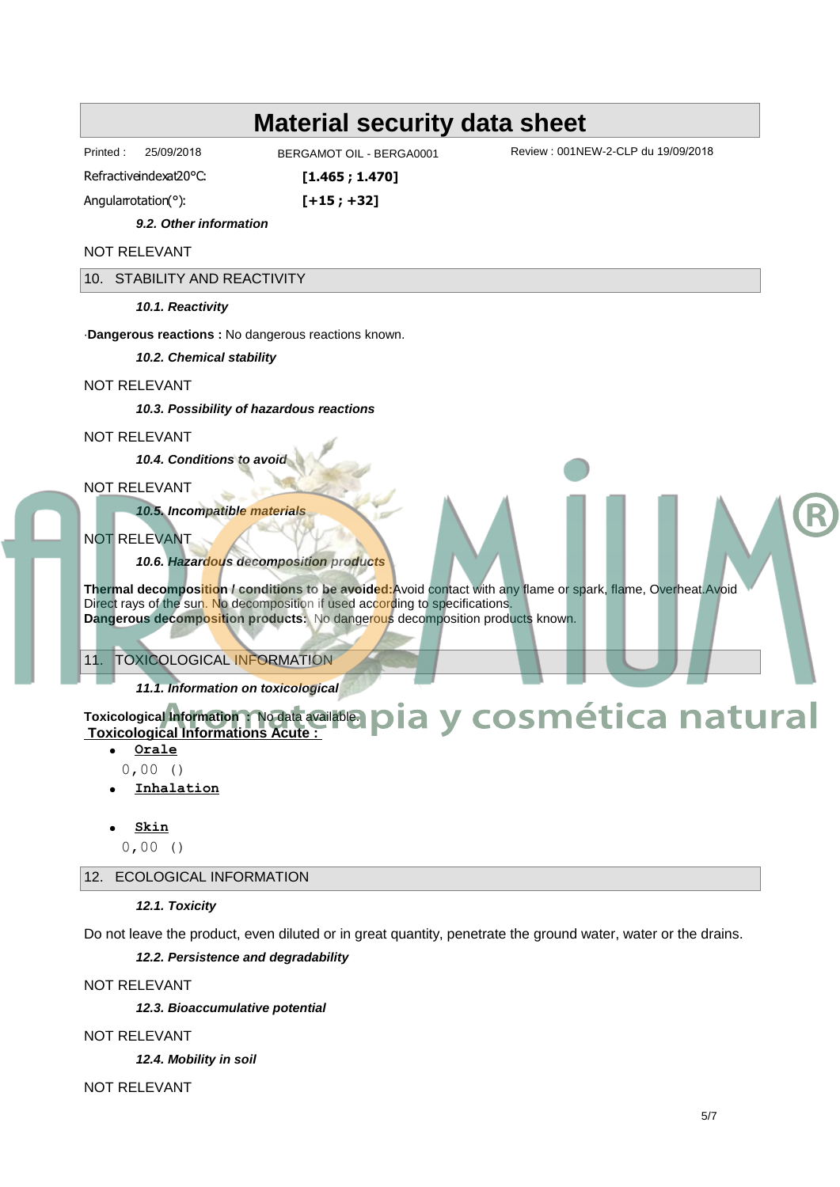Printed : 25/09/2018

BERGAMOT OIL - BERGA0001

**[1.465 ; 1.470]**

Review : 001NEW-2-CLP du 19/09/2018

Refractiveindexat20 C:

Angularrotation(∞): **[+15 ; +32]**

**9.2. Other information**

NOT RELEVANT

10. STABILITY AND REACTIVITY

**10.1. Reactivity**

·**Dangerous reactions :** No dangerous reactions known.

**10.2. Chemical stability**

#### NOT RELEVANT

**10.3. Possibility of hazardous reactions**

NOT RELEVANT

**10.4. Conditions to avoid**

NOT RELEVANT

**10.5. Incompatible materials**

NOT RELEVANT

**10.6. Hazardous decomposition products**

**Thermal decomposition / conditions to be avoided:**Avoid contact with any flame or spark, flame, Overheat.Avoid Direct rays of the sun. No decomposition if used according to specifications. **Dangerous decomposition products:** No dangerous decomposition products known.

## 11. TOXICOLOGICAL INFORMATION

**11.1. Information on toxicological**

# **Toxicological Information :** No data available.  **Toxicological Informations Acute : A Information Nogata availables pia y cosmética natural**

- · **Orale**
- 0,00 () · **Inhalation**
- · **Skin**
- 0,00 ()

12. ECOLOGICAL INFORMATION

#### **12.1. Toxicity**

Do not leave the product, even diluted or in great quantity, penetrate the ground water, water or the drains.

**12.2. Persistence and degradability**

NOT RELEVANT

**12.3. Bioaccumulative potential**

NOT RELEVANT

**12.4. Mobility in soil**

NOT RELEVANT

®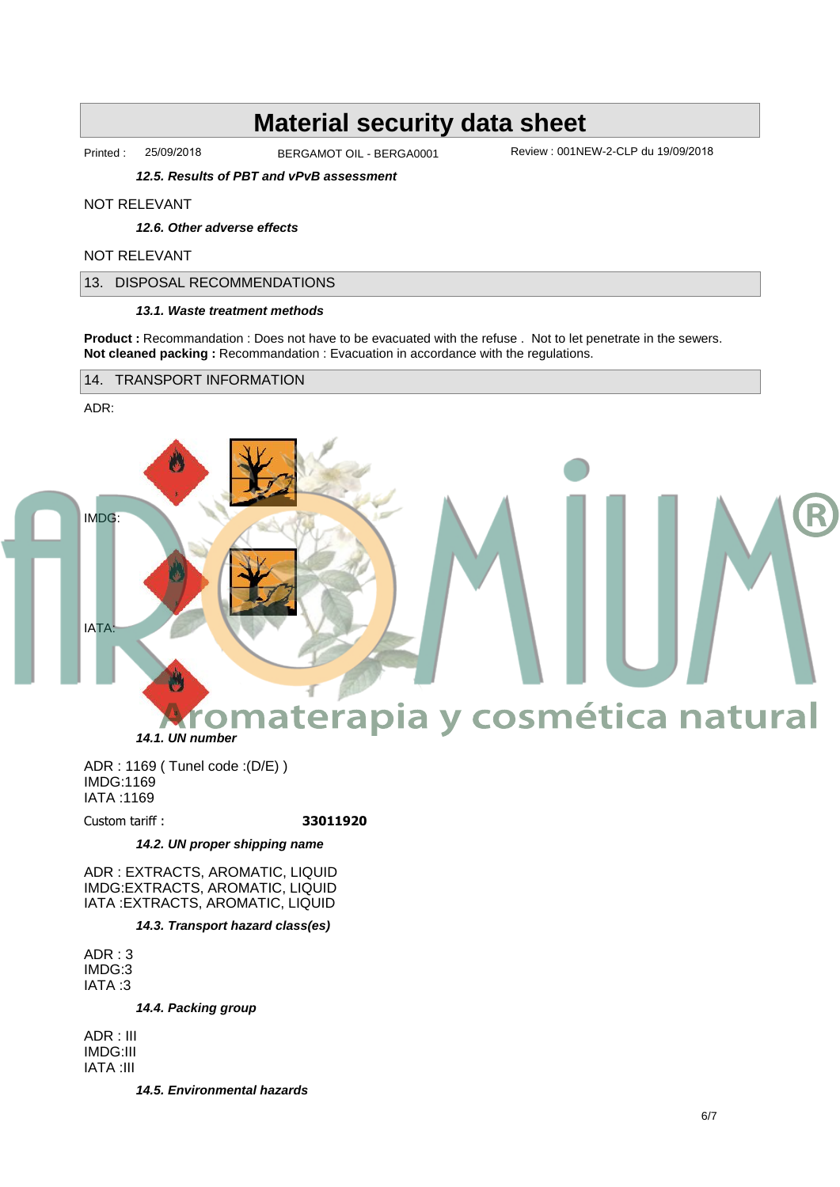Printed : 25/09/2018 BERGAMOT OIL - BERGA0001 Review : 001NEW-2-CLP du 19/09/2018

**12.5. Results of PBT and vPvB assessment**

#### NOT RELEVANT

**12.6. Other adverse effects**

#### NOT RELEVANT

13. DISPOSAL RECOMMENDATIONS

#### **13.1. Waste treatment methods**

**Product :** Recommandation : Does not have to be evacuated with the refuse . Not to let penetrate in the sewers. **Not cleaned packing : Recommandation : Evacuation in accordance with the regulations.** 

14. TRANSPORT INFORMATION

ADR:



ADR : 1169 ( Tunel code :(D/E) ) IMDG:1169 IATA :1169

Custom tariff : **33011920**

#### **14.2. UN proper shipping name**

ADR : EXTRACTS, AROMATIC, LIQUID IMDG:EXTRACTS, AROMATIC, LIQUID IATA :EXTRACTS, AROMATIC, LIQUID

**14.3. Transport hazard class(es)**

ADR : 3 IMDG:3 IATA :3

**14.4. Packing group**

ADR : III IMDG:III IATA :III

**14.5. Environmental hazards**